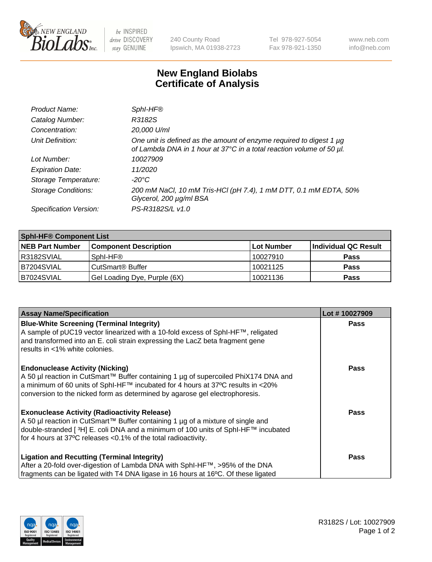

be INSPIRED drive DISCOVERY stay GENUINE

240 County Road Ipswich, MA 01938-2723 Tel 978-927-5054 Fax 978-921-1350 www.neb.com info@neb.com

## **New England Biolabs Certificate of Analysis**

| Product Name:              | Sphl-HF®                                                                                                                                    |
|----------------------------|---------------------------------------------------------------------------------------------------------------------------------------------|
| Catalog Number:            | R3182S                                                                                                                                      |
| Concentration:             | 20,000 U/ml                                                                                                                                 |
| Unit Definition:           | One unit is defined as the amount of enzyme required to digest 1 µg<br>of Lambda DNA in 1 hour at 37°C in a total reaction volume of 50 µl. |
| Lot Number:                | 10027909                                                                                                                                    |
| <b>Expiration Date:</b>    | 11/2020                                                                                                                                     |
| Storage Temperature:       | -20°C                                                                                                                                       |
| <b>Storage Conditions:</b> | 200 mM NaCl, 10 mM Tris-HCl (pH 7.4), 1 mM DTT, 0.1 mM EDTA, 50%<br>Glycerol, 200 µg/ml BSA                                                 |
| Specification Version:     | PS-R3182S/L v1.0                                                                                                                            |

| <b>Sphl-HF® Component List</b> |                              |            |                      |  |  |
|--------------------------------|------------------------------|------------|----------------------|--|--|
| <b>NEB Part Number</b>         | <b>Component Description</b> | Lot Number | Individual QC Result |  |  |
| R3182SVIAL                     | Sphl-HF®                     | 10027910   | <b>Pass</b>          |  |  |
| IB7204SVIAL                    | CutSmart <sup>®</sup> Buffer | 10021125   | <b>Pass</b>          |  |  |
| B7024SVIAL                     | Gel Loading Dye, Purple (6X) | 10021136   | <b>Pass</b>          |  |  |

| <b>Assay Name/Specification</b>                                                                                                                                | Lot #10027909 |
|----------------------------------------------------------------------------------------------------------------------------------------------------------------|---------------|
| <b>Blue-White Screening (Terminal Integrity)</b><br>A sample of pUC19 vector linearized with a 10-fold excess of SphI-HF™, religated                           | <b>Pass</b>   |
| and transformed into an E. coli strain expressing the LacZ beta fragment gene<br>results in <1% white colonies.                                                |               |
| <b>Endonuclease Activity (Nicking)</b>                                                                                                                         | <b>Pass</b>   |
| A 50 µl reaction in CutSmart™ Buffer containing 1 µg of supercoiled PhiX174 DNA and                                                                            |               |
| a minimum of 60 units of SphI-HF™ incubated for 4 hours at 37°C results in <20%<br>conversion to the nicked form as determined by agarose gel electrophoresis. |               |
|                                                                                                                                                                |               |
| <b>Exonuclease Activity (Radioactivity Release)</b>                                                                                                            | Pass          |
| A 50 µl reaction in CutSmart™ Buffer containing 1 µg of a mixture of single and                                                                                |               |
| double-stranded [ <sup>3</sup> H] E. coli DNA and a minimum of 100 units of Sphl-HF™ incubated                                                                 |               |
| for 4 hours at 37°C releases < 0.1% of the total radioactivity.                                                                                                |               |
| <b>Ligation and Recutting (Terminal Integrity)</b>                                                                                                             | <b>Pass</b>   |
| After a 20-fold over-digestion of Lambda DNA with SphI-HF™, >95% of the DNA                                                                                    |               |
| fragments can be ligated with T4 DNA ligase in 16 hours at 16°C. Of these ligated                                                                              |               |